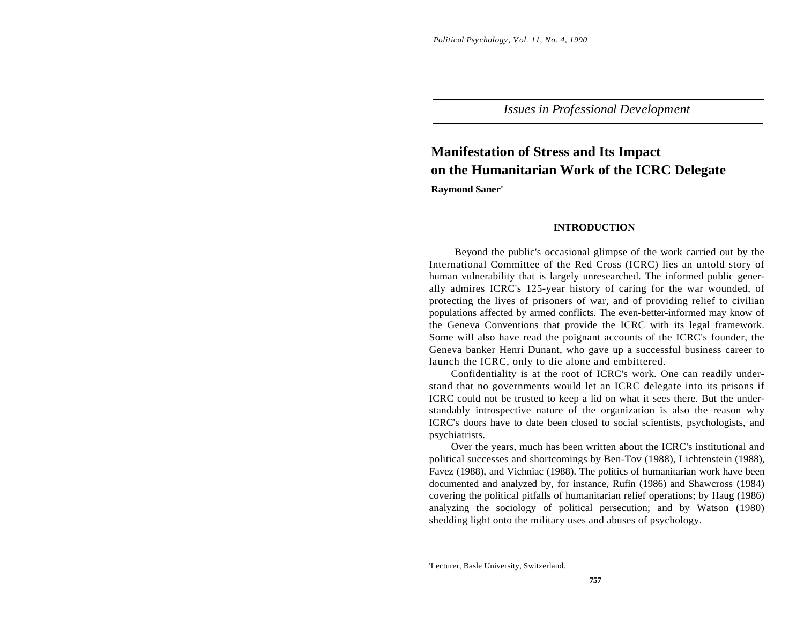*Issues in Professional Development*

# **Manifestation of Stress and Its Impact on the Humanitarian Work of the ICRC Delegate**

**Raymond Saner'**

## **INTRODUCTION**

Beyond the public's occasional glimpse of the work carried out by the International Committee of the Red Cross (ICRC) lies an untold story of human vulnerability that is largely unresearched. The informed public generally admires ICRC's 125-year history of caring for the war wounded, of protecting the lives of prisoners of war, and of providing relief to civilian populations affected by armed conflicts. The even-better-informed may know of the Geneva Conventions that provide the ICRC with its legal framework. Some will also have read the poignant accounts of the ICRC's founder, the Geneva banker Henri Dunant, who gave up a successful business career to launch the ICRC, only to die alone and embittered.

Confidentiality is at the root of ICRC's work. One can readily understand that no governments would let an ICRC delegate into its prisons if ICRC could not be trusted to keep a lid on what it sees there. But the understandably introspective nature of the organization is also the reason why ICRC's doors have to date been closed to social scientists, psychologists, and psychiatrists.

Over the years, much has been written about the ICRC's institutional and political successes and shortcomings by Ben-Tov (1988), Lichtenstein (1988), Favez (1988), and Vichniac (1988). The politics of humanitarian work have been documented and analyzed by, for instance, Rufin (1986) and Shawcross (1984) covering the political pitfalls of humanitarian relief operations; by Haug (1986) analyzing the sociology of political persecution; and by Watson (1980) shedding light onto the military uses and abuses of psychology.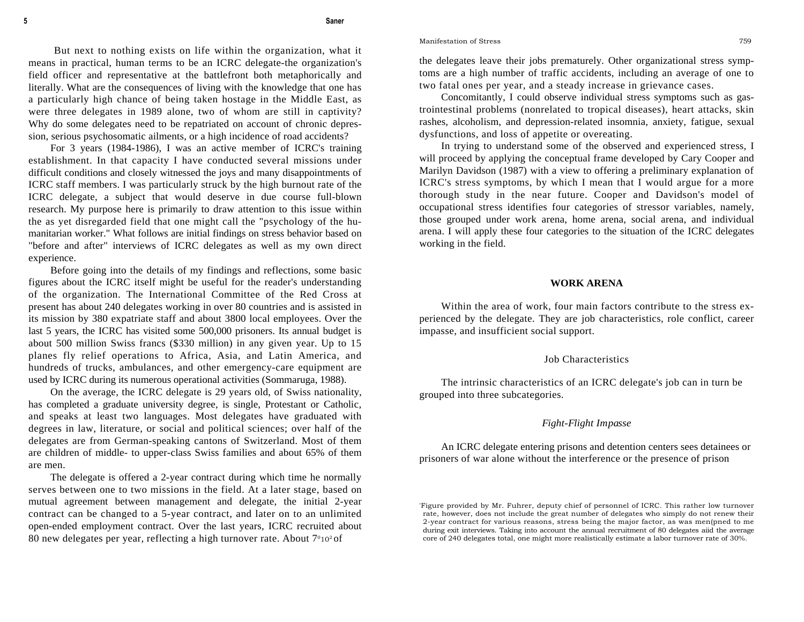#### **5 Saner**

But next to nothing exists on life within the organization, what it means in practical, human terms to be an ICRC delegate-the organization's field officer and representative at the battlefront both metaphorically and literally. What are the consequences of living with the knowledge that one has a particularly high chance of being taken hostage in the Middle East, as were three delegates in 1989 alone, two of whom are still in captivity? Why do some delegates need to be repatriated on account of chronic depression, serious psychosomatic ailments, or a high incidence of road accidents?

For 3 years (1984-1986), I was an active member of ICRC's training establishment. In that capacity I have conducted several missions under difficult conditions and closely witnessed the joys and many disappointments of ICRC staff members. I was particularly struck by the high burnout rate of the ICRC delegate, a subject that would deserve in due course full-blown research. My purpose here is primarily to draw attention to this issue within the as yet disregarded field that one might call the "psychology of the humanitarian worker." What follows are initial findings on stress behavior based on "before and after" interviews of ICRC delegates as well as my own direct experience.

Before going into the details of my findings and reflections, some basic figures about the ICRC itself might be useful for the reader's understanding of the organization. The International Committee of the Red Cross at present has about 240 delegates working in over 80 countries and is assisted in its mission by 380 expatriate staff and about 3800 local employees. Over the last 5 years, the ICRC has visited some 500,000 prisoners. Its annual budget is about 500 million Swiss francs (\$330 million) in any given year. Up to 15 planes fly relief operations to Africa, Asia, and Latin America, and hundreds of trucks, ambulances, and other emergency-care equipment are used by ICRC during its numerous operational activities (Sommaruga, 1988).

On the average, the ICRC delegate is 29 years old, of Swiss nationality, has completed a graduate university degree, is single, Protestant or Catholic, and speaks at least two languages. Most delegates have graduated with degrees in law, literature, or social and political sciences; over half of the delegates are from German-speaking cantons of Switzerland. Most of them are children of middle- to upper-class Swiss families and about 65% of them are men.

The delegate is offered a 2-year contract during which time he normally serves between one to two missions in the field. At a later stage, based on mutual agreement between management and delegate, the initial 2-year contract can be changed to a 5-year contract, and later on to an unlimited open-ended employment contract. Over the last years, ICRC recruited about 80 new delegates per year, reflecting a high turnover rate. About 7°10<sup>2</sup> of

Manifestation of Stress 759

the delegates leave their jobs prematurely. Other organizational stress symptoms are a high number of traffic accidents, including an average of one to two fatal ones per year, and a steady increase in grievance cases.

Concomitantly, I could observe individual stress symptoms such as gastrointestinal problems (nonrelated to tropical diseases), heart attacks, skin rashes, alcoholism, and depression-related insomnia, anxiety, fatigue, sexual dysfunctions, and loss of appetite or overeating.

In trying to understand some of the observed and experienced stress, I will proceed by applying the conceptual frame developed by Cary Cooper and Marilyn Davidson (1987) with a view to offering a preliminary explanation of ICRC's stress symptoms, by which I mean that I would argue for a more thorough study in the near future. Cooper and Davidson's model of occupational stress identifies four categories of stressor variables, namely, those grouped under work arena, home arena, social arena, and individual arena. I will apply these four categories to the situation of the ICRC delegates working in the field.

#### **WORK ARENA**

Within the area of work, four main factors contribute to the stress experienced by the delegate. They are job characteristics, role conflict, career impasse, and insufficient social support.

#### Job Characteristics

The intrinsic characteristics of an ICRC delegate's job can in turn be grouped into three subcategories.

#### *Fight-Flight Impasse*

An ICRC delegate entering prisons and detention centers sees detainees or prisoners of war alone without the interference or the presence of prison

<sup>&#</sup>x27;Figure provided by Mr. Fuhrer, deputy chief of personnel of ICRC. This rather low turnover rate, however, does not include the great number of delegates who simply do not renew their 2-year contract for various reasons, stress being the major factor, as was men(pned to me during exit interviews. Taking into account the annual recruitment of 80 delegates aiid the average core of 240 delegates total, one might more realistically estimate a labor turnover rate of 30%.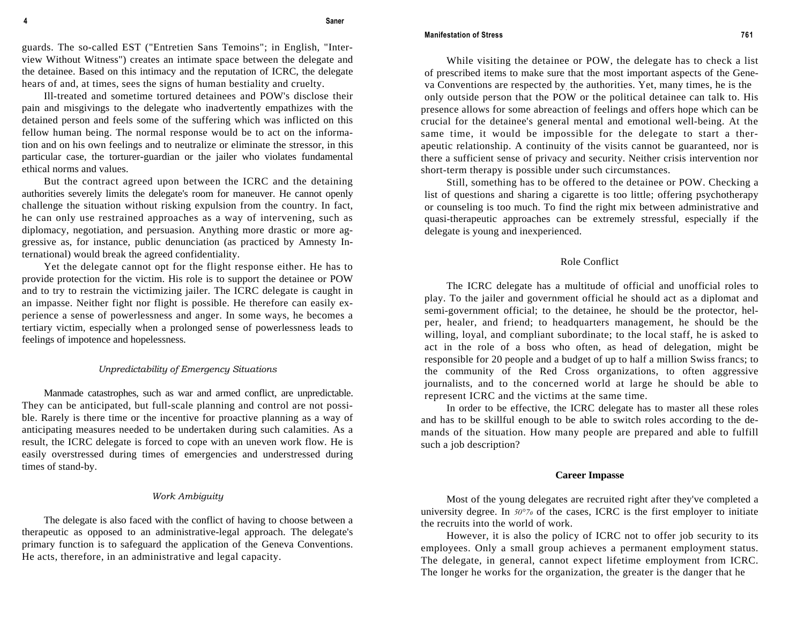#### **Manifestation of Stress 761**

guards. The so-called EST ("Entretien Sans Temoins"; in English, "Interview Without Witness") creates an intimate space between the delegate and the detainee. Based on this intimacy and the reputation of ICRC, the delegate hears of and, at times, sees the signs of human bestiality and cruelty.

Ill-treated and sometime tortured detainees and POW's disclose their pain and misgivings to the delegate who inadvertently empathizes with the detained person and feels some of the suffering which was inflicted on this fellow human being. The normal response would be to act on the information and on his own feelings and to neutralize or eliminate the stressor, in this particular case, the torturer-guardian or the jailer who violates fundamental ethical norms and values.

But the contract agreed upon between the ICRC and the detaining authorities severely limits the delegate's room for maneuver. He cannot openly challenge the situation without risking expulsion from the country. In fact, he can only use restrained approaches as a way of intervening, such as diplomacy, negotiation, and persuasion. Anything more drastic or more aggressive as, for instance, public denunciation (as practiced by Amnesty International) would break the agreed confidentiality.

Yet the delegate cannot opt for the flight response either. He has to provide protection for the victim. His role is to support the detainee or POW and to try to restrain the victimizing jailer. The ICRC delegate is caught in an impasse. Neither fight nor flight is possible. He therefore can easily experience a sense of powerlessness and anger. In some ways, he becomes a tertiary victim, especially when a prolonged sense of powerlessness leads to feelings of impotence and hopelessness.

#### *Unpredictability of Emergency Situations*

Manmade catastrophes, such as war and armed conflict, are unpredictable. They can be anticipated, but full-scale planning and control are not possible. Rarely is there time or the incentive for proactive planning as a way of anticipating measures needed to be undertaken during such calamities. As a result, the ICRC delegate is forced to cope with an uneven work flow. He is easily overstressed during times of emergencies and understressed during times of stand-by.

# *Work Ambiguity*

The delegate is also faced with the conflict of having to choose between a therapeutic as opposed to an administrative-legal approach. The delegate's primary function is to safeguard the application of the Geneva Conventions. He acts, therefore, in an administrative and legal capacity.

While visiting the detainee or POW, the delegate has to check a list of prescribed items to make sure that the most important aspects of the Geneva Conventions are respected by the authorities. Yet, many times, he is the only outside person that the POW or the political detainee can talk to. His presence allows for some abreaction of feelings and offers hope which can be crucial for the detainee's general mental and emotional well-being. At the same time, it would be impossible for the delegate to start a therapeutic relationship. A continuity of the visits cannot be guaranteed, nor is there a sufficient sense of privacy and security. Neither crisis intervention nor short-term therapy is possible under such circumstances.

Still, something has to be offered to the detainee or POW. Checking a list of questions and sharing a cigarette is too little; offering psychotherapy or counseling is too much. To find the right mix between administrative and quasi-therapeutic approaches can be extremely stressful, especially if the delegate is young and inexperienced.

## Role Conflict

The ICRC delegate has a multitude of official and unofficial roles to play. To the jailer and government official he should act as a diplomat and semi-government official; to the detainee, he should be the protector, helper, healer, and friend; to headquarters management, he should be the willing, loyal, and compliant subordinate; to the local staff, he is asked to act in the role of a boss who often, as head of delegation, might be responsible for 20 people and a budget of up to half a million Swiss francs; to the community of the Red Cross organizations, to often aggressive journalists, and to the concerned world at large he should be able to represent ICRC and the victims at the same time.

In order to be effective, the ICRC delegate has to master all these roles and has to be skillful enough to be able to switch roles according to the demands of the situation. How many people are prepared and able to fulfill such a job description?

#### **Career Impasse**

Most of the young delegates are recruited right after they've completed a university degree. In *50°7o* of the cases, ICRC is the first employer to initiate the recruits into the world of work.

However, it is also the policy of ICRC not to offer job security to its employees. Only a small group achieves a permanent employment status. The delegate, in general, cannot expect lifetime employment from ICRC. The longer he works for the organization, the greater is the danger that he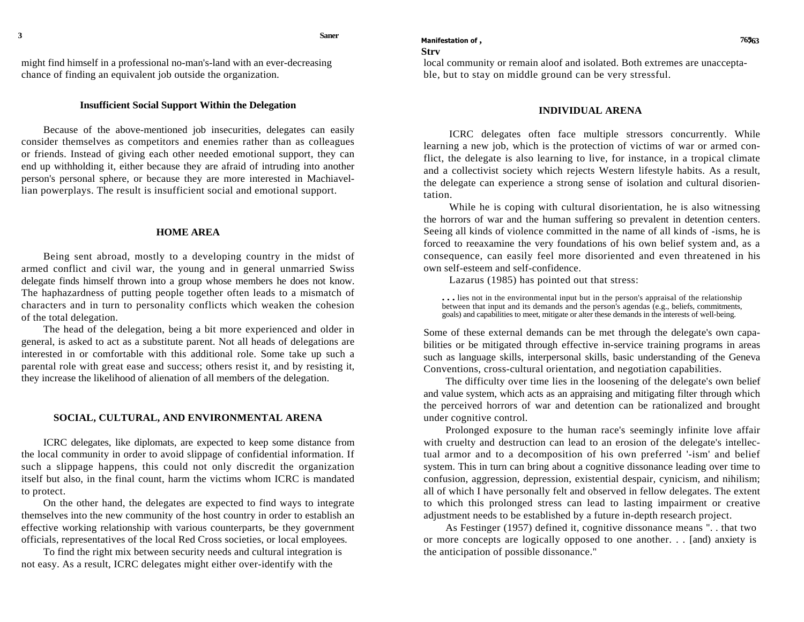might find himself in a professional no-man's-land with an ever-decreasing chance of finding an equivalent job outside the organization.

# **Insufficient Social Support Within the Delegation**

Because of the above-mentioned job insecurities, delegates can easily consider themselves as competitors and enemies rather than as colleagues or friends. Instead of giving each other needed emotional support, they can end up withholding it, either because they are afraid of intruding into another person's personal sphere, or because they are more interested in Machiavellian powerplays. The result is insufficient social and emotional support.

## **HOME AREA**

Being sent abroad, mostly to a developing country in the midst of armed conflict and civil war, the young and in general unmarried Swiss delegate finds himself thrown into a group whose members he does not know. The haphazardness of putting people together often leads to a mismatch of characters and in turn to personality conflicts which weaken the cohesion of the total delegation.

The head of the delegation, being a bit more experienced and older in general, is asked to act as a substitute parent. Not all heads of delegations are interested in or comfortable with this additional role. Some take up such a parental role with great ease and success; others resist it, and by resisting it, they increase the likelihood of alienation of all members of the delegation.

#### **SOCIAL, CULTURAL, AND ENVIRONMENTAL ARENA**

ICRC delegates, like diplomats, are expected to keep some distance from the local community in order to avoid slippage of confidential information. If such a slippage happens, this could not only discredit the organization itself but also, in the final count, harm the victims whom ICRC is mandated to protect.

On the other hand, the delegates are expected to find ways to integrate themselves into the new community of the host country in order to establish an effective working relationship with various counterparts, be they government officials, representatives of the local Red Cross societies, or local employees.

To find the right mix between security needs and cultural integration is not easy. As a result, ICRC delegates might either over-identify with the

## **Strv**

local community or remain aloof and isolated. Both extremes are unacceptable, but to stay on middle ground can be very stressful.

#### **INDIVIDUAL ARENA**

ICRC delegates often face multiple stressors concurrently. While learning a new job, which is the protection of victims of war or armed conflict, the delegate is also learning to live, for instance, in a tropical climate and a collectivist society which rejects Western lifestyle habits. As a result, the delegate can experience a strong sense of isolation and cultural disorientation.

While he is coping with cultural disorientation, he is also witnessing the horrors of war and the human suffering so prevalent in detention centers. Seeing all kinds of violence committed in the name of all kinds of -isms, he is forced to reeaxamine the very foundations of his own belief system and, as a consequence, can easily feel more disoriented and even threatened in his own self-esteem and self-confidence.

Lazarus (1985) has pointed out that stress:

**. . .** lies not in the environmental input but in the person's appraisal of the relationship between that input and its demands and the person's agendas (e.g., beliefs, commitments, goals) and capabilities to meet, mitigate or alter these demands in the interests of well-being.

Some of these external demands can be met through the delegate's own capabilities or be mitigated through effective in-service training programs in areas such as language skills, interpersonal skills, basic understanding of the Geneva Conventions, cross-cultural orientation, and negotiation capabilities.

The difficulty over time lies in the loosening of the delegate's own belief and value system, which acts as an appraising and mitigating filter through which the perceived horrors of war and detention can be rationalized and brought under cognitive control.

Prolonged exposure to the human race's seemingly infinite love affair with cruelty and destruction can lead to an erosion of the delegate's intellectual armor and to a decomposition of his own preferred '-ism' and belief system. This in turn can bring about a cognitive dissonance leading over time to confusion, aggression, depression, existential despair, cynicism, and nihilism; all of which I have personally felt and observed in fellow delegates. The extent to which this prolonged stress can lead to lasting impairment or creative adjustment needs to be established by a future in-depth research project.

As Festinger (1957) defined it, cognitive dissonance means ". . that two or more concepts are logically opposed to one another. . . [and) anxiety is the anticipation of possible dissonance."